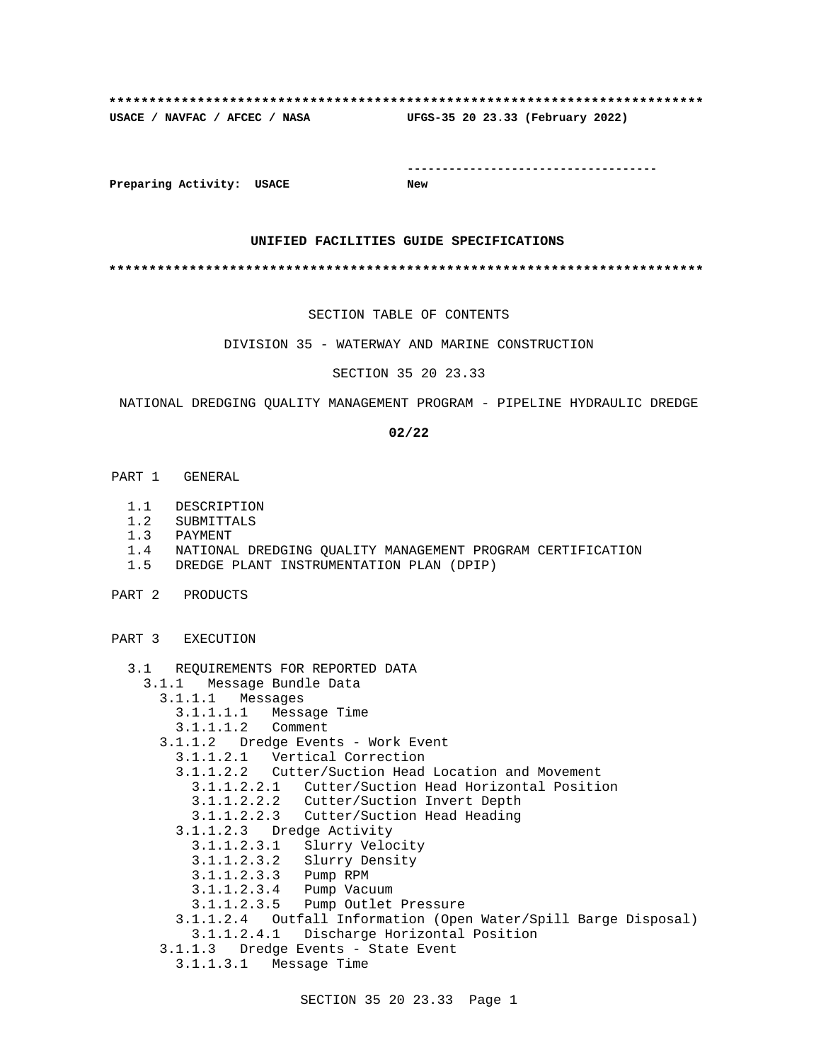# **\*\*\*\*\*\*\*\*\*\*\*\*\*\*\*\*\*\*\*\*\*\*\*\*\*\*\*\*\*\*\*\*\*\*\*\*\*\*\*\*\*\*\*\*\*\*\*\*\*\*\*\*\*\*\*\*\*\*\*\*\*\*\*\*\*\*\*\*\*\*\*\*\*\* USACE / NAVFAC / AFCEC / NASA UFGS-35 20 23.33 (February 2022)**

**------------------------------------**

**Preparing Activity: USACE New**

### **UNIFIED FACILITIES GUIDE SPECIFICATIONS**

**\*\*\*\*\*\*\*\*\*\*\*\*\*\*\*\*\*\*\*\*\*\*\*\*\*\*\*\*\*\*\*\*\*\*\*\*\*\*\*\*\*\*\*\*\*\*\*\*\*\*\*\*\*\*\*\*\*\*\*\*\*\*\*\*\*\*\*\*\*\*\*\*\*\***

SECTION TABLE OF CONTENTS

DIVISION 35 - WATERWAY AND MARINE CONSTRUCTION

SECTION 35 20 23.33

NATIONAL DREDGING QUALITY MANAGEMENT PROGRAM - PIPELINE HYDRAULIC DREDGE

### **02/22**

- PART 1 GENERAL
	- 1.1 DESCRIPTION
	- 1.2 SUBMITTALS
	- 1.3 PAYMENT
	- 1.4 NATIONAL DREDGING QUALITY MANAGEMENT PROGRAM CERTIFICATION
	- 1.5 DREDGE PLANT INSTRUMENTATION PLAN (DPIP)
- PART 2 PRODUCTS

PART 3 EXECUTION

- 3.1 REQUIREMENTS FOR REPORTED DATA
	- 3.1.1 Message Bundle Data
	- 3.1.1.1 Messages
		- 3.1.1.1.1 Message Time
		- 3.1.1.1.2 Comment
		- 3.1.1.2 Dredge Events Work Event
- 3.1.1.2.1 Vertical Correction
- 3.1.1.2.2 Cutter/Suction Head Location and Movement
	- 3.1.1.2.2.1 Cutter/Suction Head Horizontal Position
	- 3.1.1.2.2.2 Cutter/Suction Invert Depth
	- 3.1.1.2.2.3 Cutter/Suction Head Heading
	- 3.1.1.2.3 Dredge Activity
		- 3.1.1.2.3.1 Slurry Velocity
		- 3.1.1.2.3.2 Slurry Density
			- 3.1.1.2.3.3 Pump RPM
			- 3.1.1.2.3.4 Pump Vacuum
		- 3.1.1.2.3.5 Pump Outlet Pressure
	- 3.1.1.2.4 Outfall Information (Open Water/Spill Barge Disposal) 3.1.1.2.4.1 Discharge Horizontal Position
	- 3.1.1.3 Dredge Events State Event
	- 3.1.1.3.1 Message Time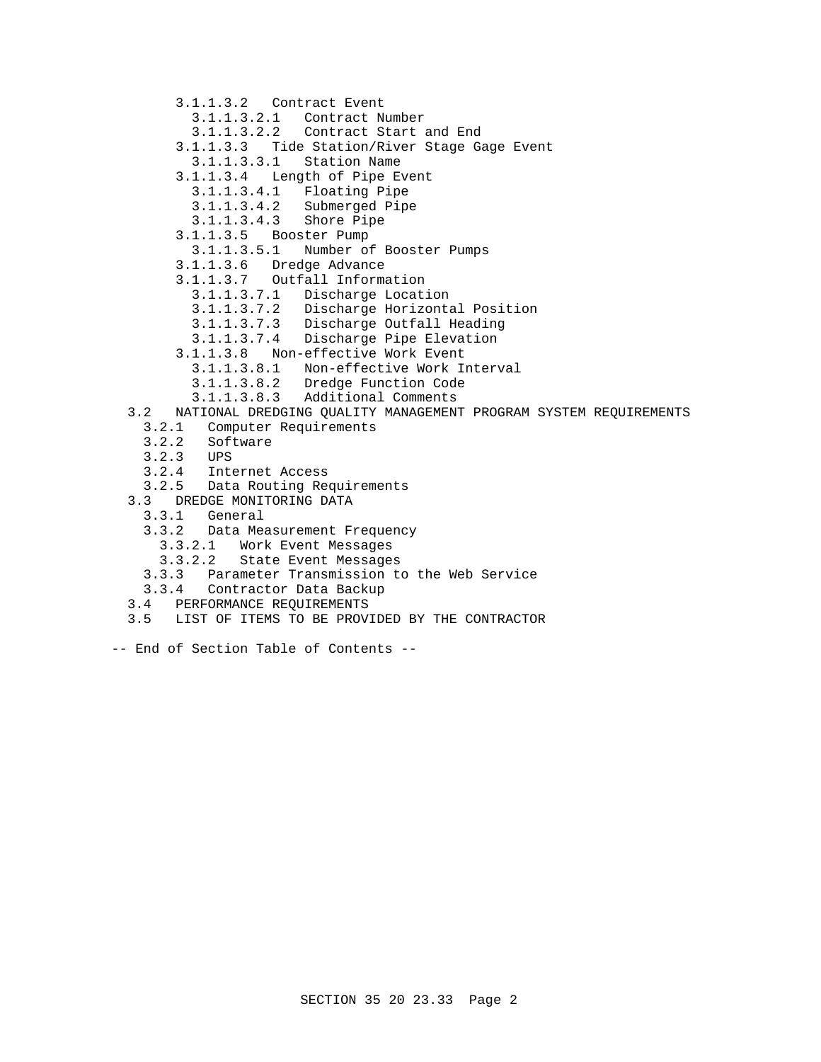- 3.1.1.3.2 Contract Event 3.1.1.3.2.1 Contract Number 3.1.1.3.2.2 Contract Start and End 3.1.1.3.3 Tide Station/River Stage Gage Event 3.1.1.3.3.1 Station Name 3.1.1.3.4 Length of Pipe Event 3.1.1.3.4.1 Floating Pipe 3.1.1.3.4.2 Submerged Pipe 3.1.1.3.4.3 Shore Pipe 3.1.1.3.5 Booster Pump 3.1.1.3.5.1 Number of Booster Pumps 3.1.1.3.6 Dredge Advance 3.1.1.3.7 Outfall Information 3.1.1.3.7.1 Discharge Location 3.1.1.3.7.2 Discharge Horizontal Position 3.1.1.3.7.3 Discharge Outfall Heading 3.1.1.3.7.4 Discharge Pipe Elevation 3.1.1.3.8 Non-effective Work Event 3.1.1.3.8.1 Non-effective Work Interval 3.1.1.3.8.2 Dredge Function Code 3.1.1.3.8.3 Additional Comments 3.2 NATIONAL DREDGING QUALITY MANAGEMENT PROGRAM SYSTEM REQUIREMENTS 3.2.1 Computer Requirements 3.2.2 Software 3.2.3 UPS 3.2.4 Internet Access 3.2.5 Data Routing Requirements 3.3 DREDGE MONITORING DATA 3.3.1 General 3.3.2 Data Measurement Frequency 3.3.2.1 Work Event Messages 3.3.2.2 State Event Messages
	- 3.3.3 Parameter Transmission to the Web Service
	- 3.3.4 Contractor Data Backup
- 3.4 PERFORMANCE REQUIREMENTS
- 3.5 LIST OF ITEMS TO BE PROVIDED BY THE CONTRACTOR
- -- End of Section Table of Contents --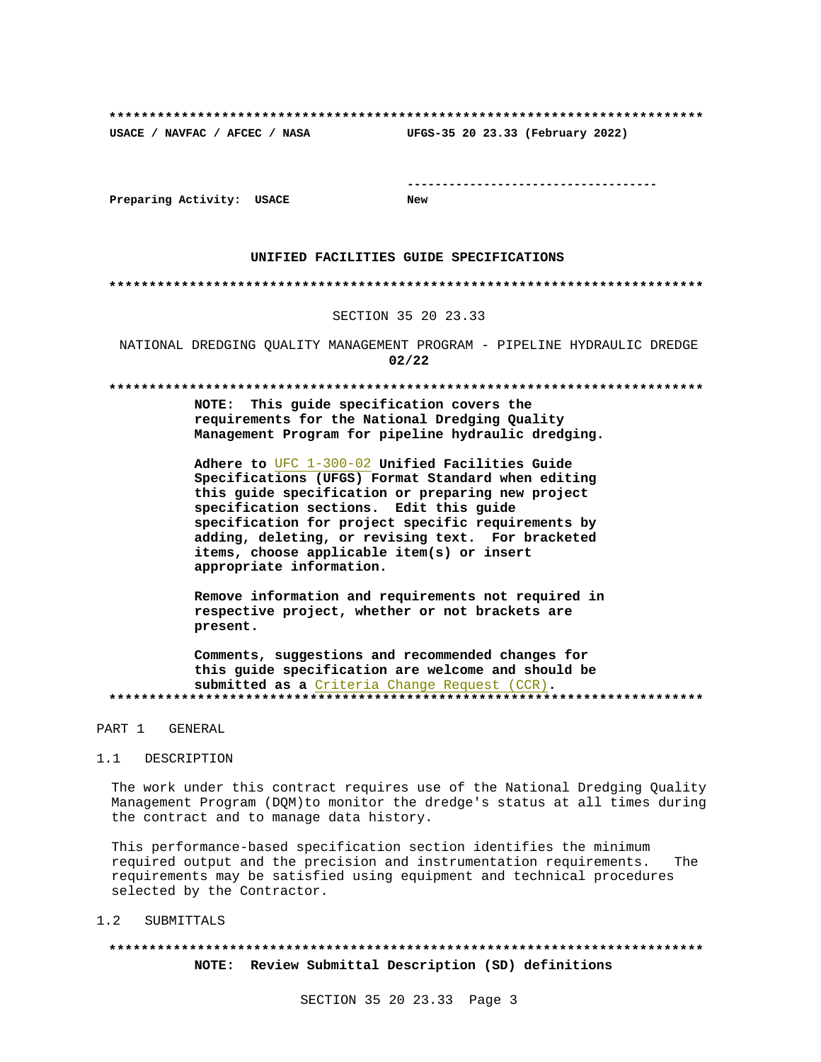**\*\*\*\*\*\*\*\*\*\*\*\*\*\*\*\*\*\*\*\*\*\*\*\*\*\*\*\*\*\*\*\*\*\*\*\*\*\*\*\*\*\*\*\*\*\*\*\*\*\*\*\*\*\*\*\*\*\*\*\*\*\*\*\*\*\*\*\*\*\*\*\*\*\* USACE / NAVFAC / AFCEC / NASA UFGS-35 20 23.33 (February 2022)**

**------------------------------------**

**Preparing Activity: USACE New**

#### **UNIFIED FACILITIES GUIDE SPECIFICATIONS**

#### **\*\*\*\*\*\*\*\*\*\*\*\*\*\*\*\*\*\*\*\*\*\*\*\*\*\*\*\*\*\*\*\*\*\*\*\*\*\*\*\*\*\*\*\*\*\*\*\*\*\*\*\*\*\*\*\*\*\*\*\*\*\*\*\*\*\*\*\*\*\*\*\*\*\***

### SECTION 35 20 23.33

NATIONAL DREDGING QUALITY MANAGEMENT PROGRAM - PIPELINE HYDRAULIC DREDGE **02/22**

#### **\*\*\*\*\*\*\*\*\*\*\*\*\*\*\*\*\*\*\*\*\*\*\*\*\*\*\*\*\*\*\*\*\*\*\*\*\*\*\*\*\*\*\*\*\*\*\*\*\*\*\*\*\*\*\*\*\*\*\*\*\*\*\*\*\*\*\*\*\*\*\*\*\*\***

**NOTE: This guide specification covers the requirements for the National Dredging Quality Management Program for pipeline hydraulic dredging.**

**Adhere to** UFC 1-300-02 **Unified Facilities Guide Specifications (UFGS) Format Standard when editing this guide specification or preparing new project specification sections. Edit this guide specification for project specific requirements by adding, deleting, or revising text. For bracketed items, choose applicable item(s) or insert appropriate information.**

**Remove information and requirements not required in respective project, whether or not brackets are present.**

**Comments, suggestions and recommended changes for this guide specification are welcome and should be submitted as a** Criteria Change Request (CCR)**. \*\*\*\*\*\*\*\*\*\*\*\*\*\*\*\*\*\*\*\*\*\*\*\*\*\*\*\*\*\*\*\*\*\*\*\*\*\*\*\*\*\*\*\*\*\*\*\*\*\*\*\*\*\*\*\*\*\*\*\*\*\*\*\*\*\*\*\*\*\*\*\*\*\***

#### PART 1 GENERAL

#### 1.1 DESCRIPTION

The work under this contract requires use of the National Dredging Quality Management Program (DQM)to monitor the dredge's status at all times during the contract and to manage data history.

This performance-based specification section identifies the minimum required output and the precision and instrumentation requirements. The requirements may be satisfied using equipment and technical procedures selected by the Contractor.

#### 1.2 SUBMITTALS

# **\*\*\*\*\*\*\*\*\*\*\*\*\*\*\*\*\*\*\*\*\*\*\*\*\*\*\*\*\*\*\*\*\*\*\*\*\*\*\*\*\*\*\*\*\*\*\*\*\*\*\*\*\*\*\*\*\*\*\*\*\*\*\*\*\*\*\*\*\*\*\*\*\*\* NOTE: Review Submittal Description (SD) definitions**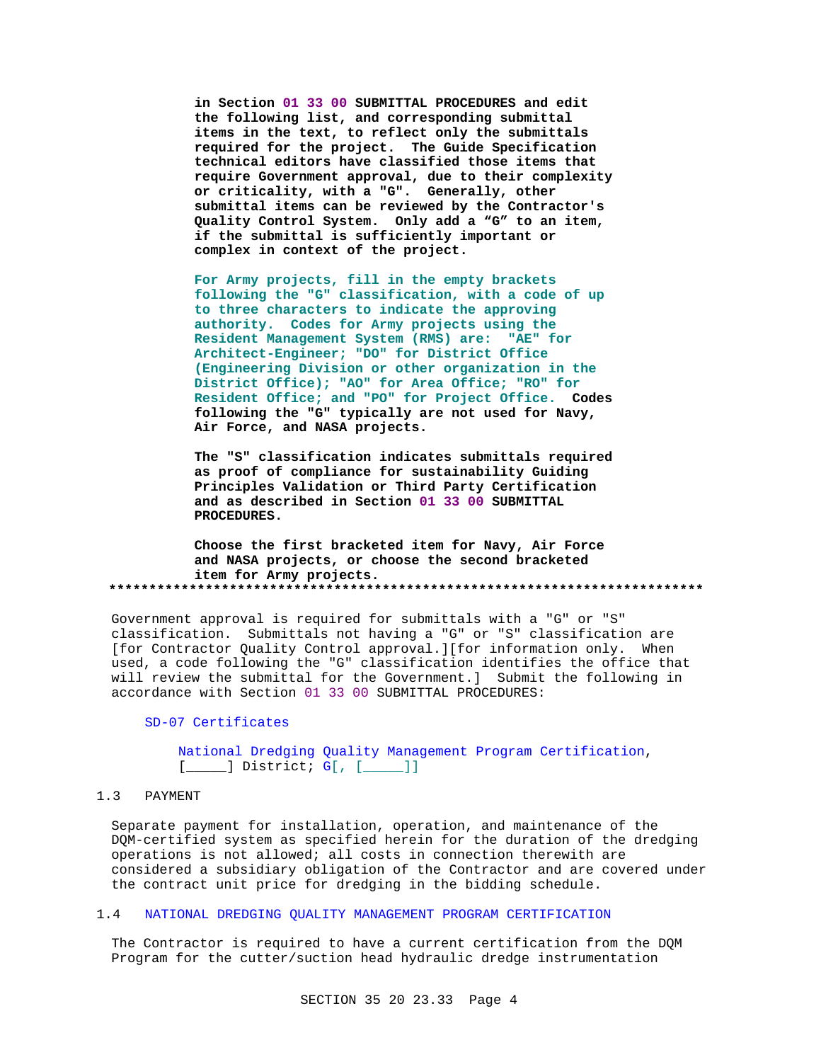**in Section 01 33 00 SUBMITTAL PROCEDURES and edit the following list, and corresponding submittal items in the text, to reflect only the submittals required for the project. The Guide Specification technical editors have classified those items that require Government approval, due to their complexity or criticality, with a "G". Generally, other submittal items can be reviewed by the Contractor's Quality Control System. Only add a "G" to an item, if the submittal is sufficiently important or complex in context of the project.**

**For Army projects, fill in the empty brackets following the "G" classification, with a code of up to three characters to indicate the approving authority. Codes for Army projects using the Resident Management System (RMS) are: "AE" for Architect-Engineer; "DO" for District Office (Engineering Division or other organization in the District Office); "AO" for Area Office; "RO" for Resident Office; and "PO" for Project Office. Codes following the "G" typically are not used for Navy, Air Force, and NASA projects.**

**The "S" classification indicates submittals required as proof of compliance for sustainability Guiding Principles Validation or Third Party Certification and as described in Section 01 33 00 SUBMITTAL PROCEDURES.**

**Choose the first bracketed item for Navy, Air Force and NASA projects, or choose the second bracketed item for Army projects. \*\*\*\*\*\*\*\*\*\*\*\*\*\*\*\*\*\*\*\*\*\*\*\*\*\*\*\*\*\*\*\*\*\*\*\*\*\*\*\*\*\*\*\*\*\*\*\*\*\*\*\*\*\*\*\*\*\*\*\*\*\*\*\*\*\*\*\*\*\*\*\*\*\***

Government approval is required for submittals with a "G" or "S" classification. Submittals not having a "G" or "S" classification are [for Contractor Quality Control approval.][for information only. When used, a code following the "G" classification identifies the office that will review the submittal for the Government.] Submit the following in accordance with Section 01 33 00 SUBMITTAL PROCEDURES:

### SD-07 Certificates

National Dredging Quality Management Program Certification,  $[\underline{\hspace{1cm}}]$  District;  $G[\begin{matrix} \end{matrix}$   $[\begin{matrix} \underline{\hspace{1cm}} \end{matrix}]]$ 

### 1.3 PAYMENT

Separate payment for installation, operation, and maintenance of the DQM-certified system as specified herein for the duration of the dredging operations is not allowed; all costs in connection therewith are considered a subsidiary obligation of the Contractor and are covered under the contract unit price for dredging in the bidding schedule.

#### 1.4 NATIONAL DREDGING QUALITY MANAGEMENT PROGRAM CERTIFICATION

The Contractor is required to have a current certification from the DQM Program for the cutter/suction head hydraulic dredge instrumentation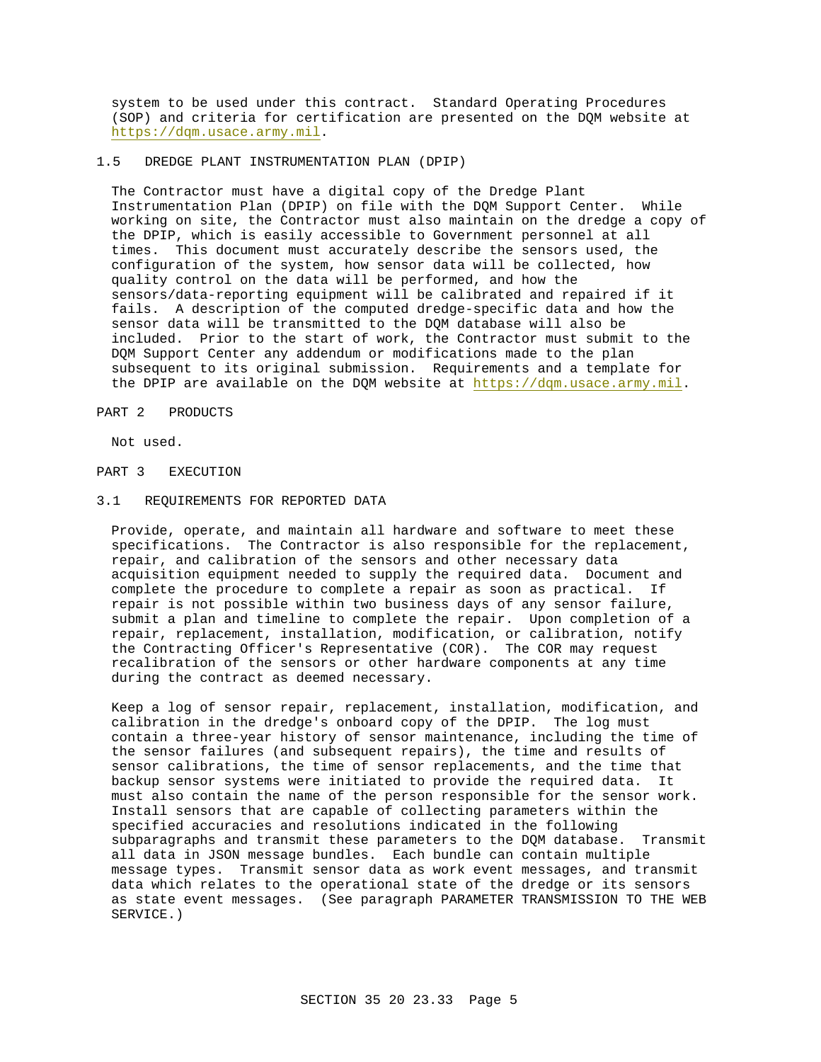system to be used under this contract. Standard Operating Procedures (SOP) and criteria for certification are presented on the DQM website at https://dqm.usace.army.mil.

### 1.5 DREDGE PLANT INSTRUMENTATION PLAN (DPIP)

The Contractor must have a digital copy of the Dredge Plant Instrumentation Plan (DPIP) on file with the DQM Support Center. While working on site, the Contractor must also maintain on the dredge a copy of the DPIP, which is easily accessible to Government personnel at all times. This document must accurately describe the sensors used, the configuration of the system, how sensor data will be collected, how quality control on the data will be performed, and how the sensors/data-reporting equipment will be calibrated and repaired if it fails. A description of the computed dredge-specific data and how the sensor data will be transmitted to the DQM database will also be included. Prior to the start of work, the Contractor must submit to the DQM Support Center any addendum or modifications made to the plan subsequent to its original submission. Requirements and a template for the DPIP are available on the DQM website at https://dqm.usace.army.mil.

### PART 2 PRODUCTS

Not used.

### PART 3 EXECUTION

#### 3.1 REQUIREMENTS FOR REPORTED DATA

Provide, operate, and maintain all hardware and software to meet these specifications. The Contractor is also responsible for the replacement, repair, and calibration of the sensors and other necessary data acquisition equipment needed to supply the required data. Document and complete the procedure to complete a repair as soon as practical. If repair is not possible within two business days of any sensor failure, submit a plan and timeline to complete the repair. Upon completion of a repair, replacement, installation, modification, or calibration, notify the Contracting Officer's Representative (COR). The COR may request recalibration of the sensors or other hardware components at any time during the contract as deemed necessary.

Keep a log of sensor repair, replacement, installation, modification, and calibration in the dredge's onboard copy of the DPIP. The log must contain a three-year history of sensor maintenance, including the time of the sensor failures (and subsequent repairs), the time and results of sensor calibrations, the time of sensor replacements, and the time that backup sensor systems were initiated to provide the required data. It must also contain the name of the person responsible for the sensor work. Install sensors that are capable of collecting parameters within the specified accuracies and resolutions indicated in the following subparagraphs and transmit these parameters to the DQM database. Transmit all data in JSON message bundles. Each bundle can contain multiple message types. Transmit sensor data as work event messages, and transmit data which relates to the operational state of the dredge or its sensors as state event messages. (See paragraph PARAMETER TRANSMISSION TO THE WEB SERVICE.)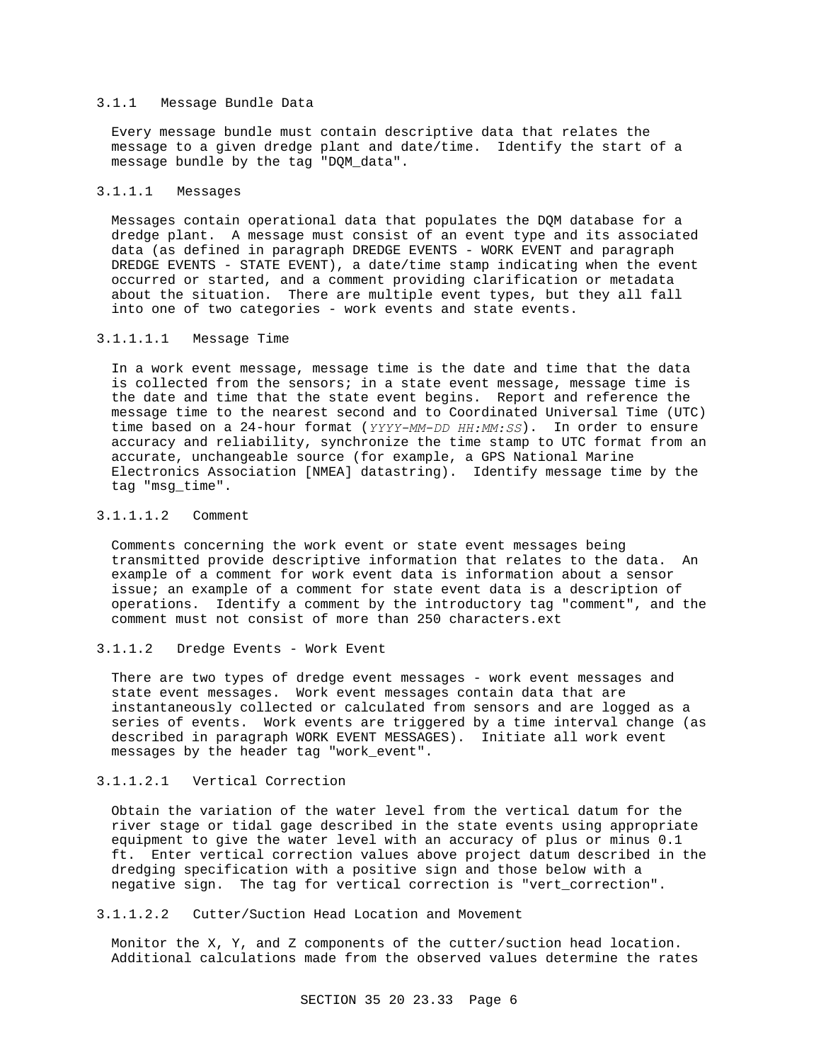### 3.1.1 Message Bundle Data

Every message bundle must contain descriptive data that relates the message to a given dredge plant and date/time. Identify the start of a message bundle by the tag "DQM\_data".

### 3.1.1.1 Messages

Messages contain operational data that populates the DQM database for a dredge plant. A message must consist of an event type and its associated data (as defined in paragraph DREDGE EVENTS - WORK EVENT and paragraph DREDGE EVENTS - STATE EVENT), a date/time stamp indicating when the event occurred or started, and a comment providing clarification or metadata about the situation. There are multiple event types, but they all fall into one of two categories - work events and state events.

#### 3.1.1.1.1 Message Time

In a work event message, message time is the date and time that the data is collected from the sensors; in a state event message, message time is the date and time that the state event begins. Report and reference the message time to the nearest second and to Coordinated Universal Time (UTC) time based on a 24-hour format (*YYYY-MM-DD HH:MM:SS*). In order to ensure accuracy and reliability, synchronize the time stamp to UTC format from an accurate, unchangeable source (for example, a GPS National Marine Electronics Association [NMEA] datastring). Identify message time by the tag "msg\_time".

### 3.1.1.1.2 Comment

Comments concerning the work event or state event messages being transmitted provide descriptive information that relates to the data. An example of a comment for work event data is information about a sensor issue; an example of a comment for state event data is a description of operations. Identify a comment by the introductory tag "comment", and the comment must not consist of more than 250 characters.ext

### 3.1.1.2 Dredge Events - Work Event

There are two types of dredge event messages - work event messages and state event messages. Work event messages contain data that are instantaneously collected or calculated from sensors and are logged as a series of events. Work events are triggered by a time interval change (as described in paragraph WORK EVENT MESSAGES). Initiate all work event messages by the header tag "work\_event".

### 3.1.1.2.1 Vertical Correction

Obtain the variation of the water level from the vertical datum for the river stage or tidal gage described in the state events using appropriate equipment to give the water level with an accuracy of plus or minus 0.1 ft. Enter vertical correction values above project datum described in the dredging specification with a positive sign and those below with a negative sign. The tag for vertical correction is "vert\_correction".

### 3.1.1.2.2 Cutter/Suction Head Location and Movement

Monitor the X, Y, and Z components of the cutter/suction head location. Additional calculations made from the observed values determine the rates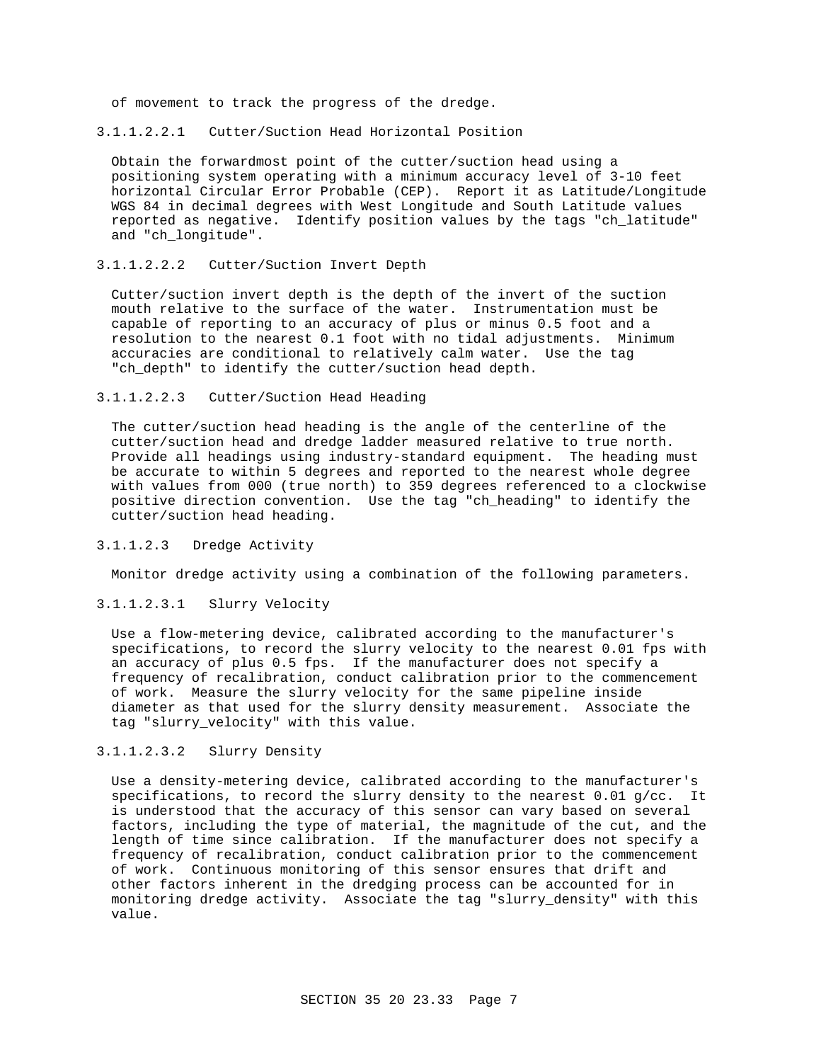of movement to track the progress of the dredge.

#### 3.1.1.2.2.1 Cutter/Suction Head Horizontal Position

Obtain the forwardmost point of the cutter/suction head using a positioning system operating with a minimum accuracy level of 3-10 feet horizontal Circular Error Probable (CEP). Report it as Latitude/Longitude WGS 84 in decimal degrees with West Longitude and South Latitude values reported as negative. Identify position values by the tags "ch\_latitude" and "ch\_longitude".

### 3.1.1.2.2.2 Cutter/Suction Invert Depth

Cutter/suction invert depth is the depth of the invert of the suction mouth relative to the surface of the water. Instrumentation must be capable of reporting to an accuracy of plus or minus 0.5 foot and a resolution to the nearest 0.1 foot with no tidal adjustments. Minimum accuracies are conditional to relatively calm water. Use the tag "ch\_depth" to identify the cutter/suction head depth.

### 3.1.1.2.2.3 Cutter/Suction Head Heading

The cutter/suction head heading is the angle of the centerline of the cutter/suction head and dredge ladder measured relative to true north. Provide all headings using industry-standard equipment. The heading must be accurate to within 5 degrees and reported to the nearest whole degree with values from 000 (true north) to 359 degrees referenced to a clockwise positive direction convention. Use the tag "ch\_heading" to identify the cutter/suction head heading.

### 3.1.1.2.3 Dredge Activity

Monitor dredge activity using a combination of the following parameters.

### 3.1.1.2.3.1 Slurry Velocity

Use a flow-metering device, calibrated according to the manufacturer's specifications, to record the slurry velocity to the nearest 0.01 fps with an accuracy of plus 0.5 fps. If the manufacturer does not specify a frequency of recalibration, conduct calibration prior to the commencement of work. Measure the slurry velocity for the same pipeline inside diameter as that used for the slurry density measurement. Associate the tag "slurry\_velocity" with this value.

# 3.1.1.2.3.2 Slurry Density

Use a density-metering device, calibrated according to the manufacturer's specifications, to record the slurry density to the nearest  $0.01$  g/cc. It is understood that the accuracy of this sensor can vary based on several factors, including the type of material, the magnitude of the cut, and the length of time since calibration. If the manufacturer does not specify a frequency of recalibration, conduct calibration prior to the commencement of work. Continuous monitoring of this sensor ensures that drift and other factors inherent in the dredging process can be accounted for in monitoring dredge activity. Associate the tag "slurry\_density" with this value.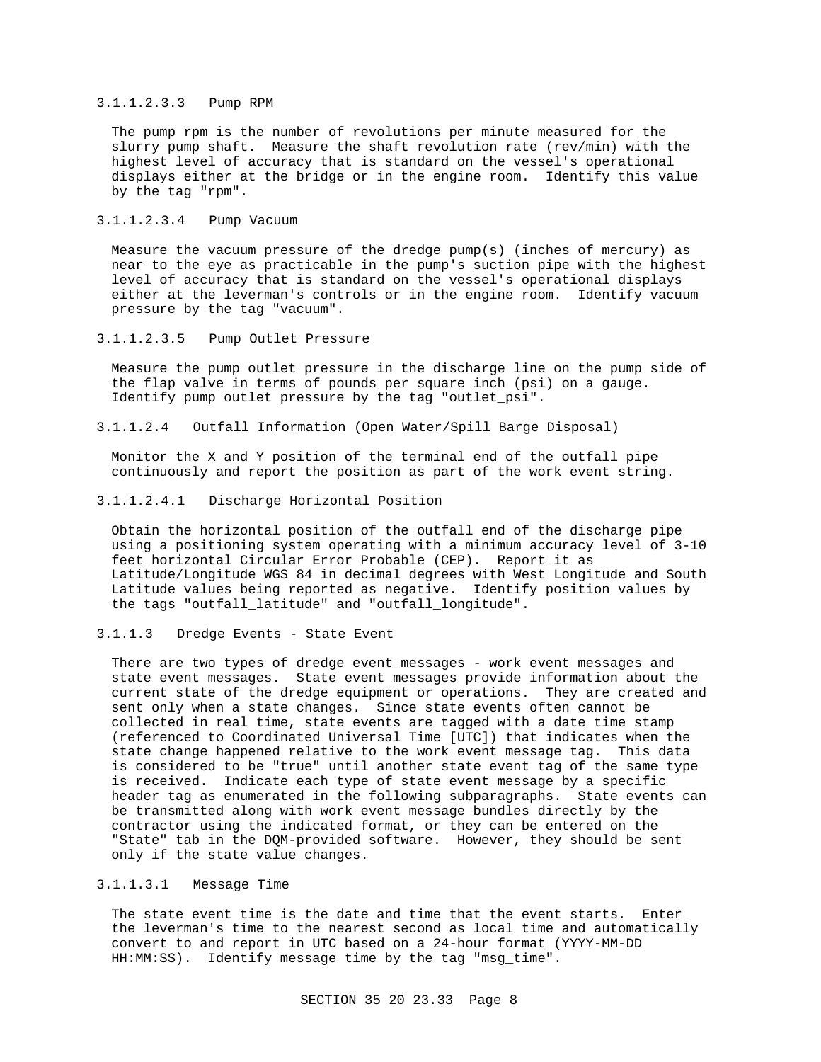#### 3.1.1.2.3.3 Pump RPM

The pump rpm is the number of revolutions per minute measured for the slurry pump shaft. Measure the shaft revolution rate (rev/min) with the highest level of accuracy that is standard on the vessel's operational displays either at the bridge or in the engine room. Identify this value by the tag "rpm".

### 3.1.1.2.3.4 Pump Vacuum

Measure the vacuum pressure of the dredge  $pump(s)$  (inches of mercury) as near to the eye as practicable in the pump's suction pipe with the highest level of accuracy that is standard on the vessel's operational displays either at the leverman's controls or in the engine room. Identify vacuum pressure by the tag "vacuum".

3.1.1.2.3.5 Pump Outlet Pressure

Measure the pump outlet pressure in the discharge line on the pump side of the flap valve in terms of pounds per square inch (psi) on a gauge. Identify pump outlet pressure by the tag "outlet\_psi".

3.1.1.2.4 Outfall Information (Open Water/Spill Barge Disposal)

Monitor the X and Y position of the terminal end of the outfall pipe continuously and report the position as part of the work event string.

3.1.1.2.4.1 Discharge Horizontal Position

Obtain the horizontal position of the outfall end of the discharge pipe using a positioning system operating with a minimum accuracy level of 3-10 feet horizontal Circular Error Probable (CEP). Report it as Latitude/Longitude WGS 84 in decimal degrees with West Longitude and South Latitude values being reported as negative. Identify position values by the tags "outfall\_latitude" and "outfall\_longitude".

3.1.1.3 Dredge Events - State Event

There are two types of dredge event messages - work event messages and state event messages. State event messages provide information about the current state of the dredge equipment or operations. They are created and sent only when a state changes. Since state events often cannot be collected in real time, state events are tagged with a date time stamp (referenced to Coordinated Universal Time [UTC]) that indicates when the state change happened relative to the work event message tag. This data is considered to be "true" until another state event tag of the same type is received. Indicate each type of state event message by a specific header tag as enumerated in the following subparagraphs. State events can be transmitted along with work event message bundles directly by the contractor using the indicated format, or they can be entered on the "State" tab in the DQM-provided software. However, they should be sent only if the state value changes.

## 3.1.1.3.1 Message Time

The state event time is the date and time that the event starts. Enter the leverman's time to the nearest second as local time and automatically convert to and report in UTC based on a 24-hour format (YYYY-MM-DD HH:MM:SS). Identify message time by the tag "msg\_time".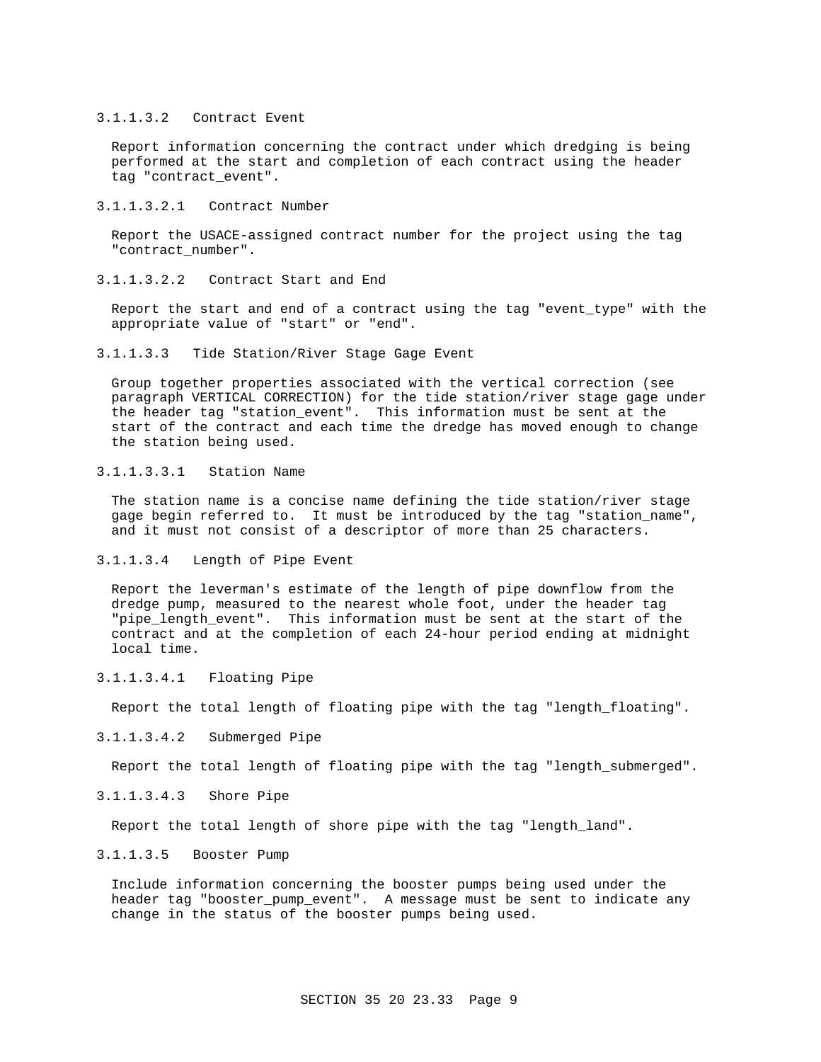#### 3.1.1.3.2 Contract Event

Report information concerning the contract under which dredging is being performed at the start and completion of each contract using the header tag "contract\_event".

3.1.1.3.2.1 Contract Number

Report the USACE-assigned contract number for the project using the tag "contract\_number".

3.1.1.3.2.2 Contract Start and End

Report the start and end of a contract using the tag "event\_type" with the appropriate value of "start" or "end".

3.1.1.3.3 Tide Station/River Stage Gage Event

Group together properties associated with the vertical correction (see paragraph VERTICAL CORRECTION) for the tide station/river stage gage under the header tag "station\_event". This information must be sent at the start of the contract and each time the dredge has moved enough to change the station being used.

3.1.1.3.3.1 Station Name

The station name is a concise name defining the tide station/river stage gage begin referred to. It must be introduced by the tag "station\_name", and it must not consist of a descriptor of more than 25 characters.

3.1.1.3.4 Length of Pipe Event

Report the leverman's estimate of the length of pipe downflow from the dredge pump, measured to the nearest whole foot, under the header tag "pipe\_length\_event". This information must be sent at the start of the contract and at the completion of each 24-hour period ending at midnight local time.

3.1.1.3.4.1 Floating Pipe

Report the total length of floating pipe with the tag "length\_floating".

3.1.1.3.4.2 Submerged Pipe

Report the total length of floating pipe with the tag "length\_submerged".

# 3.1.1.3.4.3 Shore Pipe

Report the total length of shore pipe with the tag "length\_land".

## 3.1.1.3.5 Booster Pump

Include information concerning the booster pumps being used under the header tag "booster\_pump\_event". A message must be sent to indicate any change in the status of the booster pumps being used.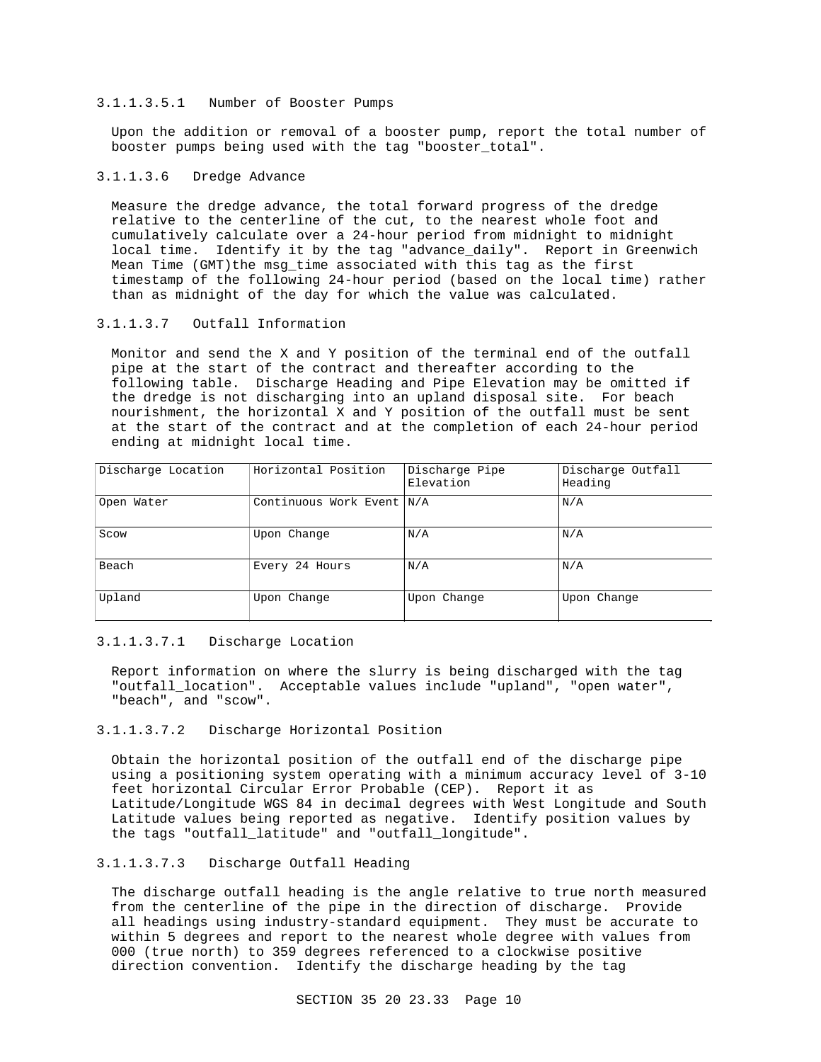### 3.1.1.3.5.1 Number of Booster Pumps

Upon the addition or removal of a booster pump, report the total number of booster pumps being used with the tag "booster\_total".

### 3.1.1.3.6 Dredge Advance

Measure the dredge advance, the total forward progress of the dredge relative to the centerline of the cut, to the nearest whole foot and cumulatively calculate over a 24-hour period from midnight to midnight local time. Identify it by the tag "advance\_daily". Report in Greenwich Mean Time (GMT)the msg\_time associated with this tag as the first timestamp of the following 24-hour period (based on the local time) rather than as midnight of the day for which the value was calculated.

# 3.1.1.3.7 Outfall Information

Monitor and send the X and Y position of the terminal end of the outfall pipe at the start of the contract and thereafter according to the following table. Discharge Heading and Pipe Elevation may be omitted if the dredge is not discharging into an upland disposal site. For beach nourishment, the horizontal X and Y position of the outfall must be sent at the start of the contract and at the completion of each 24-hour period ending at midnight local time.

| Discharge Location | Horizontal Position       | Discharge Pipe<br>Elevation | Discharge Outfall<br>Heading |
|--------------------|---------------------------|-----------------------------|------------------------------|
| Open Water         | Continuous Work Event N/A |                             | N/A                          |
| Scow               | Upon Change               | N/A                         | N/A                          |
| Beach              | Every 24 Hours            | N/A                         | N/A                          |
| Upland             | Upon Change               | Upon Change                 | Upon Change                  |

### 3.1.1.3.7.1 Discharge Location

Report information on where the slurry is being discharged with the tag "outfall\_location". Acceptable values include "upland", "open water", "beach", and "scow".

### 3.1.1.3.7.2 Discharge Horizontal Position

Obtain the horizontal position of the outfall end of the discharge pipe using a positioning system operating with a minimum accuracy level of 3-10 feet horizontal Circular Error Probable (CEP). Report it as Latitude/Longitude WGS 84 in decimal degrees with West Longitude and South Latitude values being reported as negative. Identify position values by the tags "outfall\_latitude" and "outfall\_longitude".

# 3.1.1.3.7.3 Discharge Outfall Heading

The discharge outfall heading is the angle relative to true north measured from the centerline of the pipe in the direction of discharge. Provide all headings using industry-standard equipment. They must be accurate to within 5 degrees and report to the nearest whole degree with values from 000 (true north) to 359 degrees referenced to a clockwise positive direction convention. Identify the discharge heading by the tag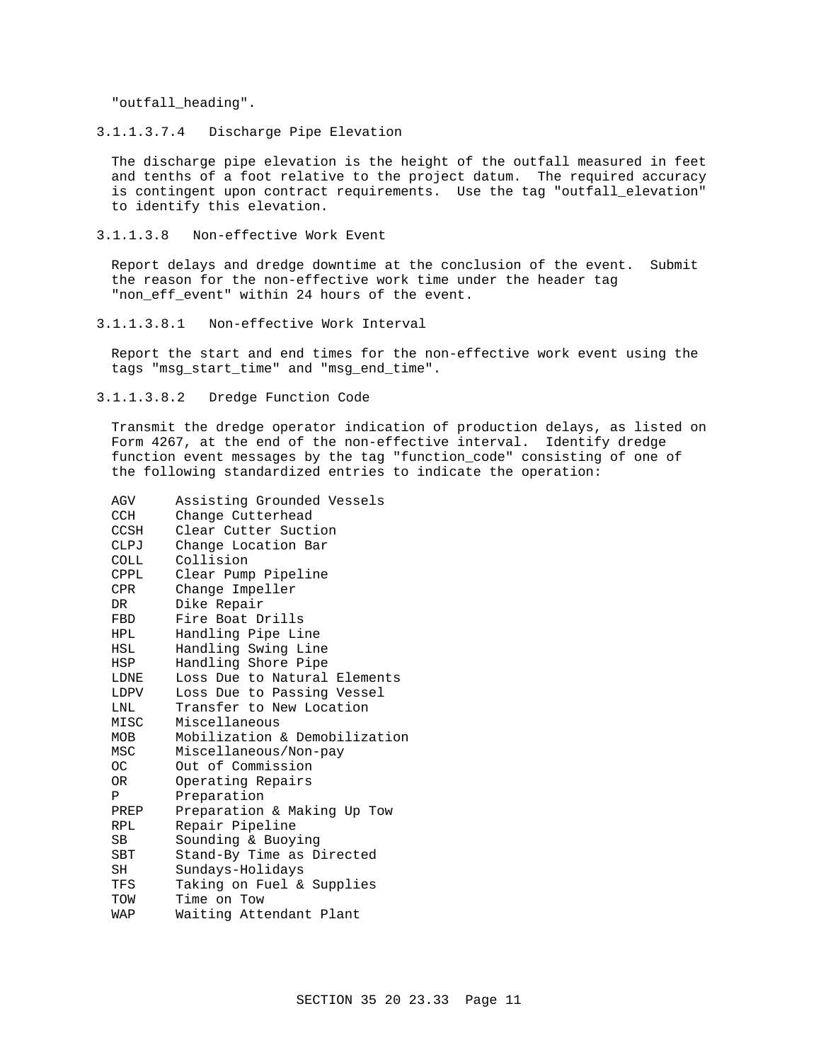"outfall\_heading".

3.1.1.3.7.4 Discharge Pipe Elevation

The discharge pipe elevation is the height of the outfall measured in feet and tenths of a foot relative to the project datum. The required accuracy is contingent upon contract requirements. Use the tag "outfall\_elevation" to identify this elevation.

3.1.1.3.8 Non-effective Work Event

Report delays and dredge downtime at the conclusion of the event. Submit the reason for the non-effective work time under the header tag "non\_eff\_event" within 24 hours of the event.

3.1.1.3.8.1 Non-effective Work Interval

Report the start and end times for the non-effective work event using the tags "msg\_start\_time" and "msg\_end\_time".

3.1.1.3.8.2 Dredge Function Code

Transmit the dredge operator indication of production delays, as listed on Form 4267, at the end of the non-effective interval. Identify dredge function event messages by the tag "function\_code" consisting of one of the following standardized entries to indicate the operation:

| AGV         | Assisting Grounded Vessels    |
|-------------|-------------------------------|
| CCH         | Change Cutterhead             |
| CCSH        | Clear Cutter Suction          |
| CLPJ        | Change Location Bar           |
| <b>COLL</b> | Collision                     |
| CPPL        | Clear Pump Pipeline           |
| CPR.        | Change Impeller               |
| DR          | Dike Repair                   |
| FBD         | Fire Boat Drills              |
| <b>HPL</b>  | Handling Pipe Line            |
| HSL         | Handling Swing Line           |
| HSP         | Handling Shore Pipe           |
| LDNE        | Loss Due to Natural Elements  |
| LDPV        | Loss Due to Passing Vessel    |
| LNL         | Transfer to New Location      |
| MISC        | Miscellaneous                 |
| MOB         | Mobilization & Demobilization |
| MSC         | Miscellaneous/Non-pay         |
| OC          | Out of Commission             |
| OR          | Operating Repairs             |
| P           | Preparation                   |
| PREP        | Preparation & Making Up Tow   |
| RPL         | Repair Pipeline               |
| SВ          | Sounding & Buoying            |
| SBT         | Stand-By Time as Directed     |
| SH          | Sundays-Holidays              |
| TFS         | Taking on Fuel & Supplies     |
| TOW         | Time on Tow                   |
| WAP         | Waiting Attendant Plant       |
|             |                               |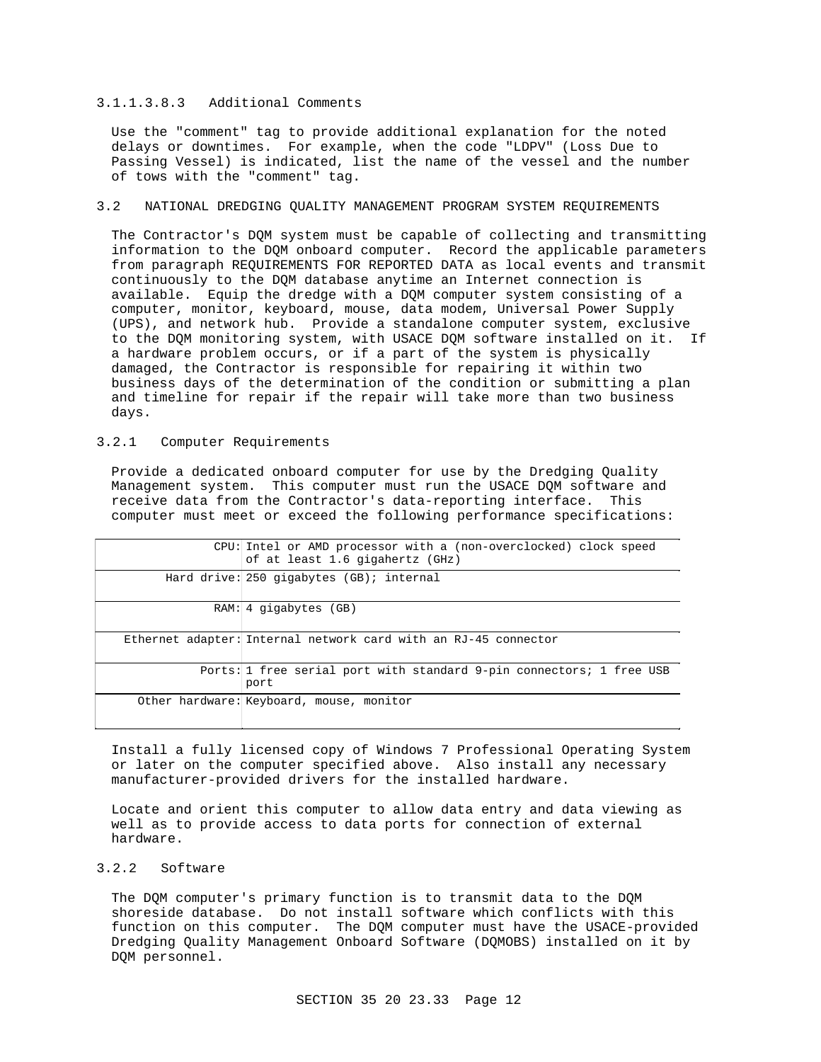#### 3.1.1.3.8.3 Additional Comments

Use the "comment" tag to provide additional explanation for the noted delays or downtimes. For example, when the code "LDPV" (Loss Due to Passing Vessel) is indicated, list the name of the vessel and the number of tows with the "comment" tag.

# 3.2 NATIONAL DREDGING QUALITY MANAGEMENT PROGRAM SYSTEM REQUIREMENTS

The Contractor's DQM system must be capable of collecting and transmitting information to the DQM onboard computer. Record the applicable parameters from paragraph REQUIREMENTS FOR REPORTED DATA as local events and transmit continuously to the DQM database anytime an Internet connection is available. Equip the dredge with a DQM computer system consisting of a computer, monitor, keyboard, mouse, data modem, Universal Power Supply (UPS), and network hub. Provide a standalone computer system, exclusive to the DQM monitoring system, with USACE DQM software installed on it. If a hardware problem occurs, or if a part of the system is physically damaged, the Contractor is responsible for repairing it within two business days of the determination of the condition or submitting a plan and timeline for repair if the repair will take more than two business days.

### 3.2.1 Computer Requirements

Provide a dedicated onboard computer for use by the Dredging Quality Management system. This computer must run the USACE DQM software and receive data from the Contractor's data-reporting interface. This computer must meet or exceed the following performance specifications:

| CPU: Intel or AMD processor with a (non-overclocked) clock speed<br>of at least 1.6 gigahertz (GHz) |
|-----------------------------------------------------------------------------------------------------|
| Hard drive: $250$ gigabytes $(GB)$ ; internal                                                       |
| $RAM: 4$ qiqabytes $(GB)$                                                                           |
| Ethernet adapter: Internal network card with an RJ-45 connector                                     |
| Ports: 1 free serial port with standard 9-pin connectors; 1 free USB<br>port                        |
| Other hardware: Keyboard, mouse, monitor                                                            |

Install a fully licensed copy of Windows 7 Professional Operating System or later on the computer specified above. Also install any necessary manufacturer-provided drivers for the installed hardware.

Locate and orient this computer to allow data entry and data viewing as well as to provide access to data ports for connection of external hardware.

## 3.2.2 Software

The DQM computer's primary function is to transmit data to the DQM shoreside database. Do not install software which conflicts with this function on this computer. The DQM computer must have the USACE-provided Dredging Quality Management Onboard Software (DQMOBS) installed on it by DQM personnel.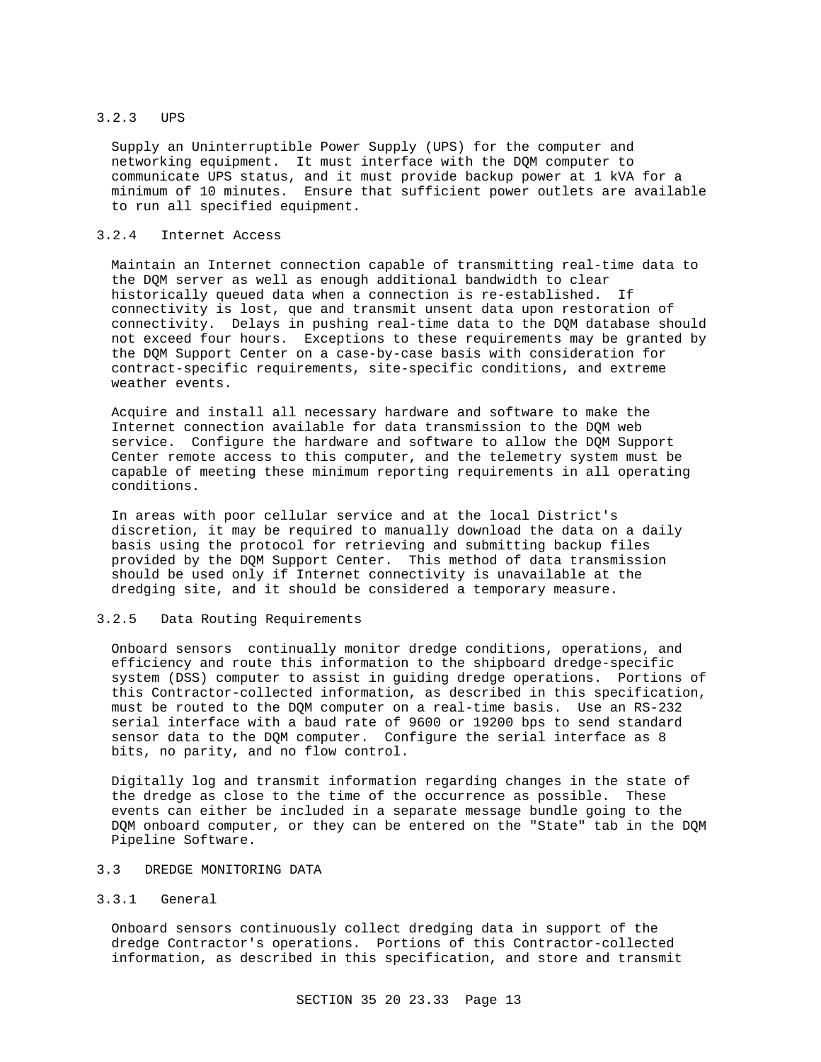### 3.2.3 UPS

Supply an Uninterruptible Power Supply (UPS) for the computer and networking equipment. It must interface with the DQM computer to communicate UPS status, and it must provide backup power at 1 kVA for a minimum of 10 minutes. Ensure that sufficient power outlets are available to run all specified equipment.

# 3.2.4 Internet Access

Maintain an Internet connection capable of transmitting real-time data to the DQM server as well as enough additional bandwidth to clear historically queued data when a connection is re-established. If connectivity is lost, que and transmit unsent data upon restoration of connectivity. Delays in pushing real-time data to the DQM database should not exceed four hours. Exceptions to these requirements may be granted by the DQM Support Center on a case-by-case basis with consideration for contract-specific requirements, site-specific conditions, and extreme weather events.

Acquire and install all necessary hardware and software to make the Internet connection available for data transmission to the DQM web service. Configure the hardware and software to allow the DQM Support Center remote access to this computer, and the telemetry system must be capable of meeting these minimum reporting requirements in all operating conditions.

In areas with poor cellular service and at the local District's discretion, it may be required to manually download the data on a daily basis using the protocol for retrieving and submitting backup files provided by the DQM Support Center. This method of data transmission should be used only if Internet connectivity is unavailable at the dredging site, and it should be considered a temporary measure.

### 3.2.5 Data Routing Requirements

Onboard sensors continually monitor dredge conditions, operations, and efficiency and route this information to the shipboard dredge-specific system (DSS) computer to assist in guiding dredge operations. Portions of this Contractor-collected information, as described in this specification, must be routed to the DQM computer on a real-time basis. Use an RS-232 serial interface with a baud rate of 9600 or 19200 bps to send standard sensor data to the DQM computer. Configure the serial interface as 8 bits, no parity, and no flow control.

Digitally log and transmit information regarding changes in the state of the dredge as close to the time of the occurrence as possible. These events can either be included in a separate message bundle going to the DQM onboard computer, or they can be entered on the "State" tab in the DQM Pipeline Software.

## 3.3 DREDGE MONITORING DATA

### 3.3.1 General

Onboard sensors continuously collect dredging data in support of the dredge Contractor's operations. Portions of this Contractor-collected information, as described in this specification, and store and transmit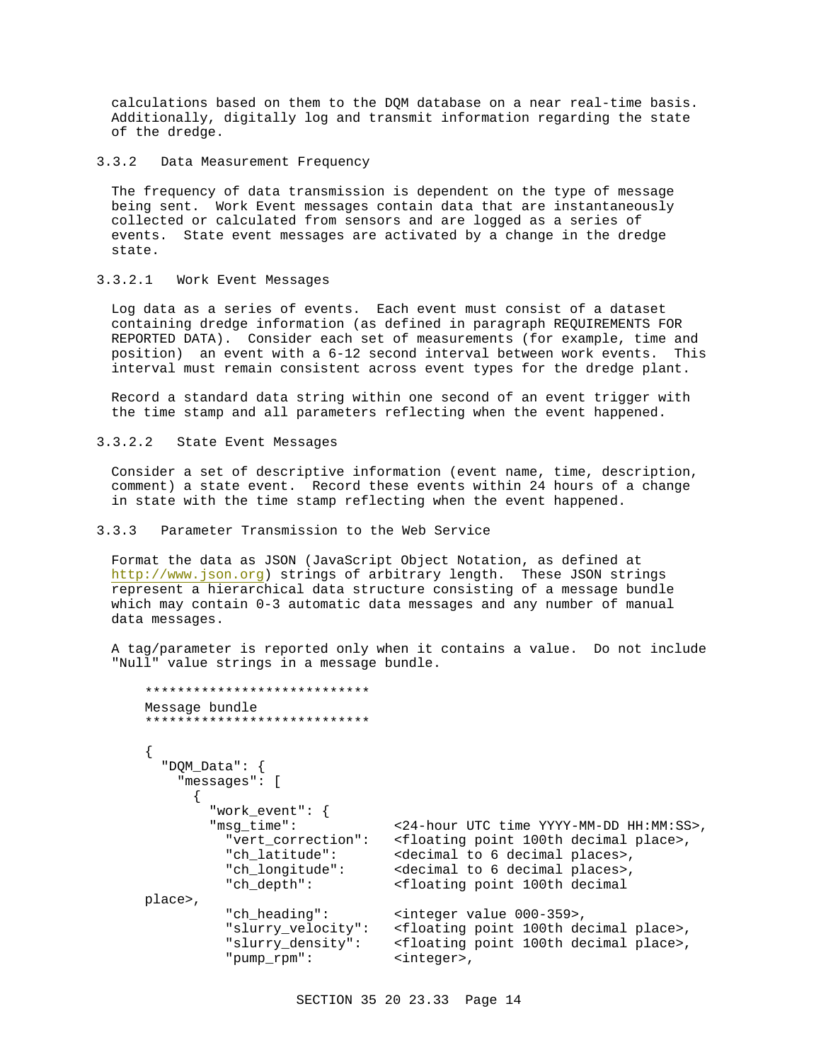calculations based on them to the DQM database on a near real-time basis. Additionally, digitally log and transmit information regarding the state of the dredge.

### 3.3.2 Data Measurement Frequency

The frequency of data transmission is dependent on the type of message being sent. Work Event messages contain data that are instantaneously collected or calculated from sensors and are logged as a series of events. State event messages are activated by a change in the dredge state.

## 3.3.2.1 Work Event Messages

Log data as a series of events. Each event must consist of a dataset containing dredge information (as defined in paragraph REQUIREMENTS FOR REPORTED DATA). Consider each set of measurements (for example, time and position) an event with a 6-12 second interval between work events. This interval must remain consistent across event types for the dredge plant.

Record a standard data string within one second of an event trigger with the time stamp and all parameters reflecting when the event happened.

### 3.3.2.2 State Event Messages

Consider a set of descriptive information (event name, time, description, comment) a state event. Record these events within 24 hours of a change in state with the time stamp reflecting when the event happened.

### 3.3.3 Parameter Transmission to the Web Service

Format the data as JSON (JavaScript Object Notation, as defined at http://www.json.org) strings of arbitrary length. These JSON strings represent a hierarchical data structure consisting of a message bundle which may contain 0-3 automatic data messages and any number of manual data messages.

A tag/parameter is reported only when it contains a value. Do not include "Null" value strings in a message bundle.

```
****************************
Message bundle
****************************
{
   "DQM_Data": {
     "messages": [
\{ "work_event": {
        "msg_time": <24-hour UTC time YYYY-MM-DD HH:MM:SS>,
          "vert_correction": <floating point 100th decimal place>,
          "ch_latitude": <decimal to 6 decimal places>,
          "ch_longitude": <decimal to 6 decimal places>,
          "ch_depth": <floating point 100th decimal 
place>, 
         "ch_heading": <integer value 000-359>,
          "slurry_velocity": <floating point 100th decimal place>,
          "slurry_density": <floating point 100th decimal place>,
          "pump_rpm": <integer>,
```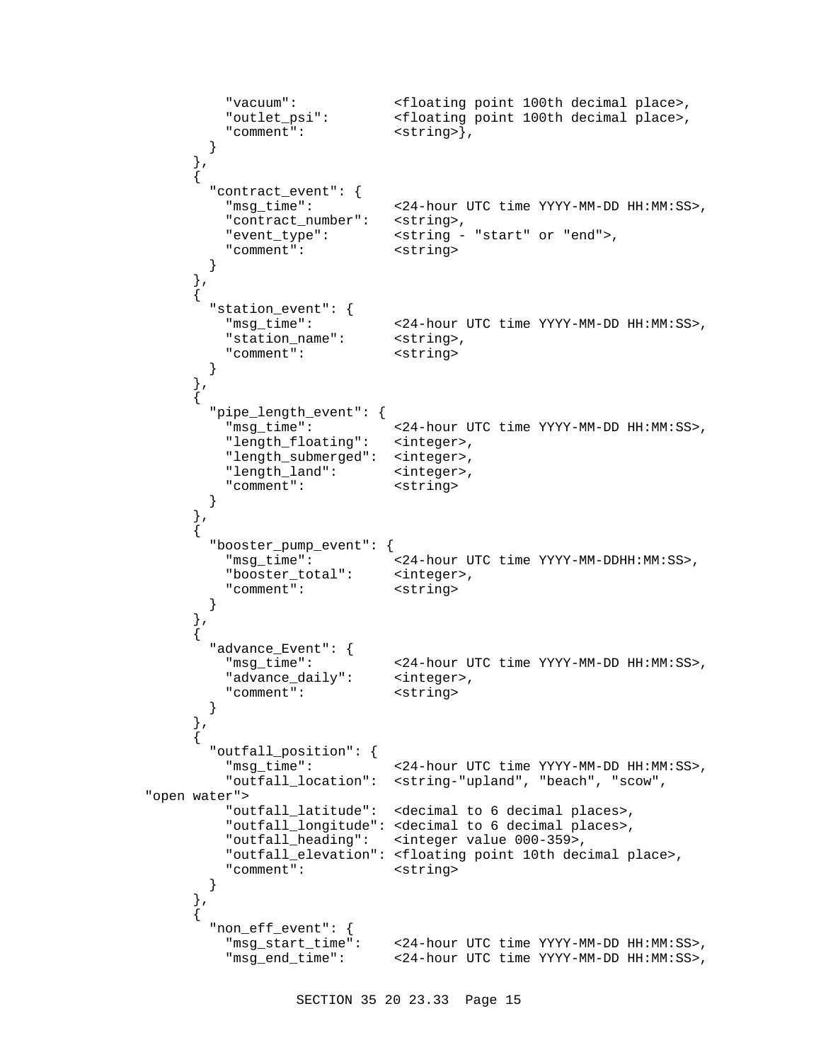```
 "vacuum": <floating point 100th decimal place>,
          "outlet_psi": <floating point 100th decimal place>,
         "comment": <string> },
        }
      },
\{"contract event": {
          "msg_time": <24-hour UTC time YYYY-MM-DD HH:MM:SS>,
          "contract_number": <string>,
          "event_type": <string - "start" or "end">,
         "comment": <string>
        }
      },
\{ "station_event": {
         "msg_time": <24-hour UTC time YYYY-MM-DD HH:MM:SS>,
         "station_name": <string>,
          "comment": <string>
        }
      },
\{ "pipe_length_event": {
         "msg_time": <24-hour UTC time YYYY-MM-DD HH:MM:SS>,
         "length_floating": <integer>,
         "length_submerged": <integer>,
         "length_land": <integer>,
         "comment": <string>
        }
      },
\{ "booster_pump_event": {
          "msg_time": <24-hour UTC time YYYY-MM-DDHH:MM:SS>,
          "booster_total": <integer>,
          "comment": <string>
        }
      },
\{ "advance_Event": {
         "msg_time": <24-hour UTC time YYYY-MM-DD HH:MM:SS>,
         "advance_daily": <integer>,
         "comment": <string>
        }
      },
\{ "outfall_position": {
          "msg_time": <24-hour UTC time YYYY-MM-DD HH:MM:SS>,
          "outfall_location": <string-"upland", "beach", "scow", 
"open water">
         "outfall latitude": <decimal to 6 decimal places>,
          "outfall_longitude": <decimal to 6 decimal places>,
          "outfall_heading": <integer value 000-359>,
          "outfall_elevation": <floating point 10th decimal place>,
          "comment": <string>
        }
      },
\{ "non_eff_event": {
         "msg_start_time": <24-hour UTC time YYYY-MM-DD HH:MM:SS>,
          "msg_end_time": <24-hour UTC time YYYY-MM-DD HH:MM:SS>,
```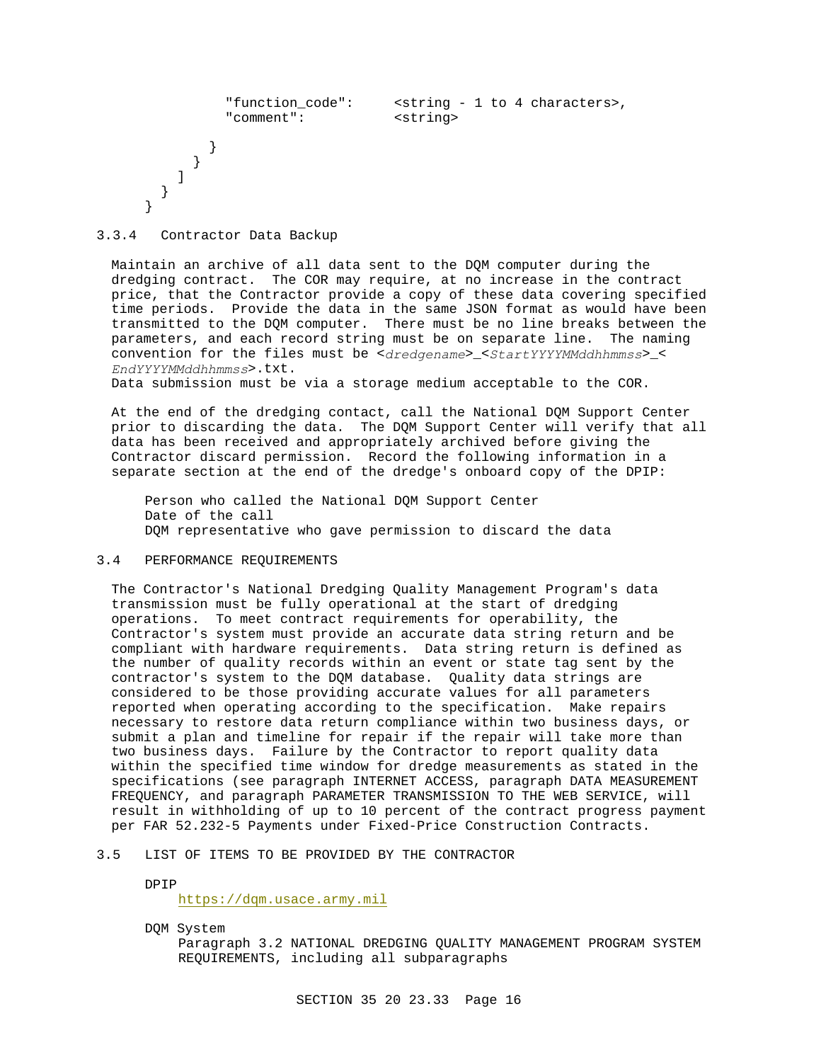```
 "function_code": <string - 1 to 4 characters>,
         "comment": <string>
        }
      }
    ]
   }
}
```
3.3.4 Contractor Data Backup

Maintain an archive of all data sent to the DQM computer during the dredging contract. The COR may require, at no increase in the contract price, that the Contractor provide a copy of these data covering specified time periods. Provide the data in the same JSON format as would have been transmitted to the DQM computer. There must be no line breaks between the parameters, and each record string must be on separate line. The naming convention for the files must be <*dredgename*>\_<*StartYYYYMMddhhmmss*>\_< *EndYYYYMMddhhmmss*>.txt.

Data submission must be via a storage medium acceptable to the COR.

At the end of the dredging contact, call the National DQM Support Center prior to discarding the data. The DQM Support Center will verify that all data has been received and appropriately archived before giving the Contractor discard permission. Record the following information in a separate section at the end of the dredge's onboard copy of the DPIP:

Person who called the National DQM Support Center Date of the call DQM representative who gave permission to discard the data

# 3.4 PERFORMANCE REQUIREMENTS

The Contractor's National Dredging Quality Management Program's data transmission must be fully operational at the start of dredging operations. To meet contract requirements for operability, the Contractor's system must provide an accurate data string return and be compliant with hardware requirements. Data string return is defined as the number of quality records within an event or state tag sent by the contractor's system to the DQM database. Quality data strings are considered to be those providing accurate values for all parameters reported when operating according to the specification. Make repairs necessary to restore data return compliance within two business days, or submit a plan and timeline for repair if the repair will take more than two business days. Failure by the Contractor to report quality data within the specified time window for dredge measurements as stated in the specifications (see paragraph INTERNET ACCESS, paragraph DATA MEASUREMENT FREQUENCY, and paragraph PARAMETER TRANSMISSION TO THE WEB SERVICE, will result in withholding of up to 10 percent of the contract progress payment per FAR 52.232-5 Payments under Fixed-Price Construction Contracts.

## 3.5 LIST OF ITEMS TO BE PROVIDED BY THE CONTRACTOR

DPIP

https://dqm.usace.army.mil

DQM System Paragraph 3.2 NATIONAL DREDGING QUALITY MANAGEMENT PROGRAM SYSTEM REQUIREMENTS, including all subparagraphs